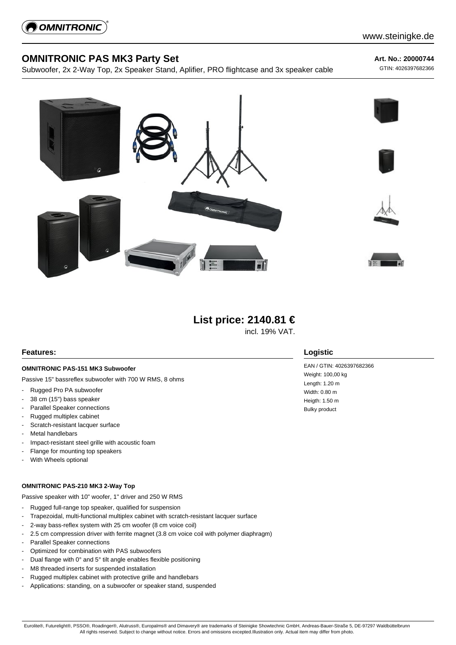

# **OMNITRONIC PAS MK3 Party Set**

Subwoofer, 2x 2-Way Top, 2x Speaker Stand, Aplifier, PRO flightcase and 3x speaker cable

**Art. No.: 20000744**

GTIN: 4026397682366







# **List price: 2140.81 €**

incl. 19% VAT.

### **Features:**

### **OMNITRONIC PAS-151 MK3 Subwoofer**

Passive 15" bassreflex subwoofer with 700 W RMS, 8 ohms

- Rugged Pro PA subwoofer
- 38 cm (15") bass speaker
- Parallel Speaker connections
- Rugged multiplex cabinet
- Scratch-resistant lacquer surface
- Metal handlebars
- Impact-resistant steel grille with acoustic foam
- Flange for mounting top speakers
- With Wheels optional

#### **OMNITRONIC PAS-210 MK3 2-Way Top**

Passive speaker with 10" woofer, 1" driver and 250 W RMS

- Rugged full-range top speaker, qualified for suspension
- Trapezoidal, multi-functional multiplex cabinet with scratch-resistant lacquer surface
- 2-way bass-reflex system with 25 cm woofer (8 cm voice coil)
- 2.5 cm compression driver with ferrite magnet (3.8 cm voice coil with polymer diaphragm)
- Parallel Speaker connections
- Optimized for combination with PAS subwoofers
- Dual flange with 0° and 5° tilt angle enables flexible positioning
- M8 threaded inserts for suspended installation
- Rugged multiplex cabinet with protective grille and handlebars
- Applications: standing, on a subwoofer or speaker stand, suspended

### **Logistic**

EAN / GTIN: 4026397682366 Weight: 100,00 kg Length: 1.20 m Width: 0.80 m Heigth: 1.50 m Bulky product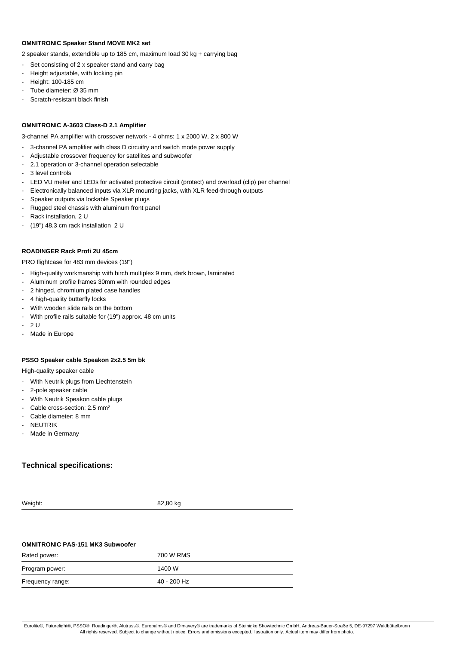#### **OMNITRONIC Speaker Stand MOVE MK2 set**

2 speaker stands, extendible up to 185 cm, maximum load 30 kg + carrying bag

- Set consisting of 2 x speaker stand and carry bag
- Height adjustable, with locking pin
- Height: 100-185 cm
- Tube diameter: Ø 35 mm
- Scratch-resistant black finish

#### **OMNITRONIC A-3603 Class-D 2.1 Amplifier**

3-channel PA amplifier with crossover network - 4 ohms: 1 x 2000 W, 2 x 800 W

- 3-channel PA amplifier with class D circuitry and switch mode power supply
- Adjustable crossover frequency for satellites and subwoofer
- 2.1 operation or 3-channel operation selectable
- 3 level controls
- LED VU meter and LEDs for activated protective circuit (protect) and overload (clip) per channel
- Electronically balanced inputs via XLR mounting jacks, with XLR feed-through outputs
- Speaker outputs via lockable Speaker plugs
- Rugged steel chassis with aluminum front panel
- Rack installation, 2 U
- (19") 48.3 cm rack installation 2 U

#### **ROADINGER Rack Profi 2U 45cm**

PRO flightcase for 483 mm devices (19")

- High-quality workmanship with birch multiplex 9 mm, dark brown, laminated
- Aluminum profile frames 30mm with rounded edges
- 2 hinged, chromium plated case handles
- 4 high-quality butterfly locks
- With wooden slide rails on the bottom
- With profile rails suitable for (19") approx. 48 cm units
- $2U$
- Made in Europe

#### **PSSO Speaker cable Speakon 2x2.5 5m bk**

High-quality speaker cable

- With Neutrik plugs from Liechtenstein
- 2-pole speaker cable
- With Neutrik Speakon cable plugs
- Cable cross-section: 2.5 mm<sup>2</sup>
- Cable diameter: 8 mm
- **NEUTRIK**
- Made in Germany

### **Technical specifications:**

Weight: 82,80 kg

#### **OMNITRONIC PAS-151 MK3 Subwoofer**

| Rated power:     | 700 W RMS   |
|------------------|-------------|
| Program power:   | 1400 W      |
| Frequency range: | 40 - 200 Hz |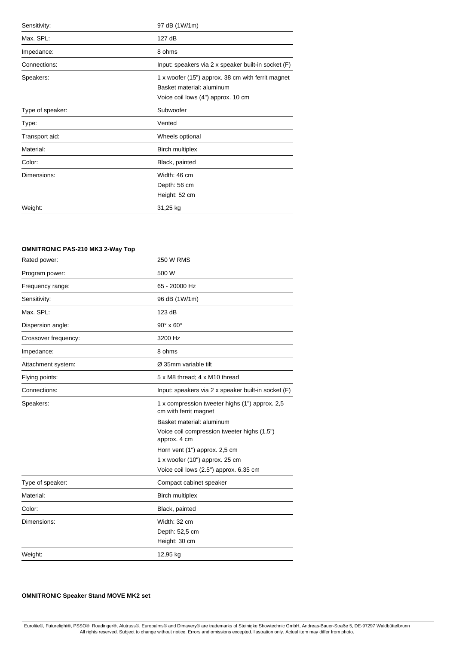| Sensitivity:     | 97 dB (1W/1m)                                                                                                        |
|------------------|----------------------------------------------------------------------------------------------------------------------|
| Max. SPL:        | 127 dB                                                                                                               |
| Impedance:       | 8 ohms                                                                                                               |
| Connections:     | Input: speakers via 2 x speaker built-in socket (F)                                                                  |
| Speakers:        | 1 x woofer (15") approx. 38 cm with ferrit magnet<br>Basket material: aluminum<br>Voice coil lows (4") approx. 10 cm |
| Type of speaker: | Subwoofer                                                                                                            |
| Type:            | Vented                                                                                                               |
| Transport aid:   | Wheels optional                                                                                                      |
| Material:        | <b>Birch multiplex</b>                                                                                               |
| Color:           | Black, painted                                                                                                       |
| Dimensions:      | Width: 46 cm<br>Depth: 56 cm<br>Height: 52 cm                                                                        |
| Weight:          | 31,25 kg                                                                                                             |

# **OMNITRONIC PAS-210 MK3 2-Way Top**

| Rated power:         | <b>250 W RMS</b>                                                        |
|----------------------|-------------------------------------------------------------------------|
| Program power:       | 500 W                                                                   |
| Frequency range:     | 65 - 20000 Hz                                                           |
| Sensitivity:         | 96 dB (1W/1m)                                                           |
| Max. SPL:            | 123 dB                                                                  |
| Dispersion angle:    | $90^\circ \times 60^\circ$                                              |
| Crossover frequency: | 3200 Hz                                                                 |
| Impedance:           | 8 ohms                                                                  |
| Attachment system:   | Ø 35mm variable tilt                                                    |
| Flying points:       | 5 x M8 thread; 4 x M10 thread                                           |
| Connections:         | Input: speakers via 2 x speaker built-in socket (F)                     |
| Speakers:            | 1 x compression tweeter highs (1") approx. 2,5<br>cm with ferrit magnet |
|                      | Basket material: aluminum                                               |
|                      | Voice coil compression tweeter highs (1.5")<br>approx. 4 cm             |
|                      | Horn vent (1") approx. 2,5 cm                                           |
|                      | $1x$ woofer (10") approx. 25 cm                                         |
|                      | Voice coil lows (2.5") approx. 6.35 cm                                  |
| Type of speaker:     | Compact cabinet speaker                                                 |
| Material:            | <b>Birch multiplex</b>                                                  |
| Color:               | Black, painted                                                          |
| Dimensions:          | Width: 32 cm                                                            |
|                      | Depth: 52,5 cm                                                          |
|                      | Height: 30 cm                                                           |
| Weight:              | 12,95 kg                                                                |

## **OMNITRONIC Speaker Stand MOVE MK2 set**

Eurolite®, Futurelight®, PSSO®, Roadinger®, Alutruss®, Europalms® and Dimavery® are trademarks of Steinigke Showtechnic GmbH, Andreas-Bauer-Straße 5, DE-97297 Waldbüttelbrunn<br>All rights reserved. Subject to change without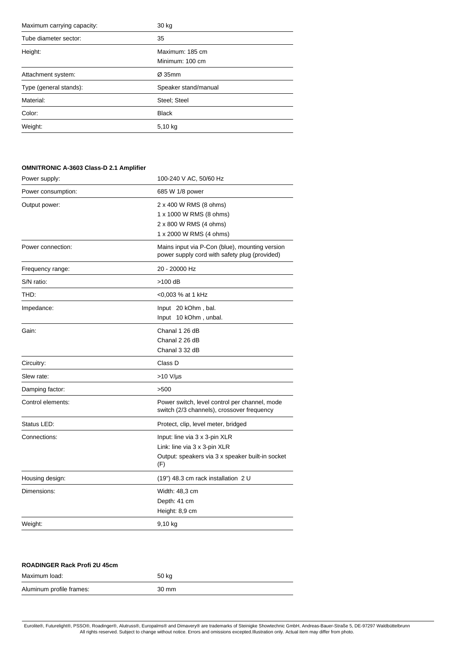| Maximum carrying capacity: | 30 kg                              |
|----------------------------|------------------------------------|
| Tube diameter sector:      | 35                                 |
| Height:                    | Maximum: 185 cm<br>Minimum: 100 cm |
| Attachment system:         | $Ø$ 35mm                           |
| Type (general stands):     | Speaker stand/manual               |
| Material:                  | Steel; Steel                       |
| Color:                     | <b>Black</b>                       |
| Weight:                    | 5,10 kg                            |

### **OMNITRONIC A-3603 Class-D 2.1 Amplifier**

| Power supply:      | 100-240 V AC, 50/60 Hz                                                                                                   |
|--------------------|--------------------------------------------------------------------------------------------------------------------------|
| Power consumption: | 685 W 1/8 power                                                                                                          |
| Output power:      | 2 x 400 W RMS (8 ohms)<br>1 x 1000 W RMS (8 ohms)<br>2 x 800 W RMS (4 ohms)<br>1 x 2000 W RMS (4 ohms)                   |
| Power connection:  | Mains input via P-Con (blue), mounting version<br>power supply cord with safety plug (provided)                          |
| Frequency range:   | 20 - 20000 Hz                                                                                                            |
| S/N ratio:         | $>100$ dB                                                                                                                |
| THD:               | <0,003 % at 1 kHz                                                                                                        |
| Impedance:         | Input 20 kOhm, bal.<br>Input 10 kOhm, unbal.                                                                             |
| Gain:              | Chanal 1 26 dB<br>Chanal 2 26 dB<br>Chanal 3 32 dB                                                                       |
| Circuitry:         | Class D                                                                                                                  |
| Slew rate:         | $>10$ V/µs                                                                                                               |
| Damping factor:    | >500                                                                                                                     |
| Control elements:  | Power switch, level control per channel, mode<br>switch (2/3 channels), crossover frequency                              |
| Status LED:        | Protect, clip, level meter, bridged                                                                                      |
| Connections:       | Input: line via 3 x 3-pin XLR<br>Link: line via 3 x 3-pin XLR<br>Output: speakers via 3 x speaker built-in socket<br>(F) |
| Housing design:    | (19") 48.3 cm rack installation 2 U                                                                                      |
| Dimensions:        | Width: 48,3 cm<br>Depth: 41 cm<br>Height: 8,9 cm                                                                         |
| Weight:            | 9,10 kg                                                                                                                  |

| <b>ROADINGER Rack Profi 2U 45cm</b> |       |
|-------------------------------------|-------|
| Maximum load:                       | 50 kg |
| Aluminum profile frames:            | 30 mm |

Eurolite®, Futurelight®, PSSO®, Roadinger®, Alutruss®, Europalms® and Dimavery® are trademarks of Steinigke Showtechnic GmbH, Andreas-Bauer-Straße 5, DE-97297 Waldbüttelbrunn<br>All rights reserved. Subject to change without